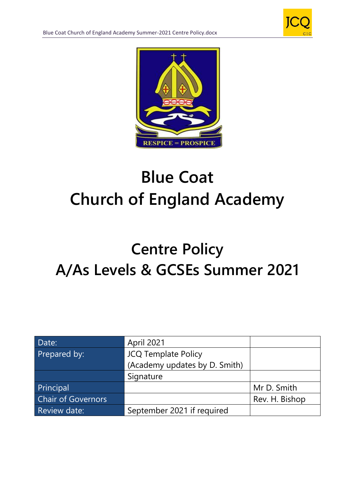



# **Blue Coat Church of England Academy**

# **Centre Policy A/As Levels & GCSEs Summer 2021**

| Date:                     | April 2021                    |                |
|---------------------------|-------------------------------|----------------|
| Prepared by:              | <b>JCQ Template Policy</b>    |                |
|                           | (Academy updates by D. Smith) |                |
|                           | Signature                     |                |
| Principal                 |                               | Mr D. Smith    |
| <b>Chair of Governors</b> |                               | Rev. H. Bishop |
| Review date:              | September 2021 if required    |                |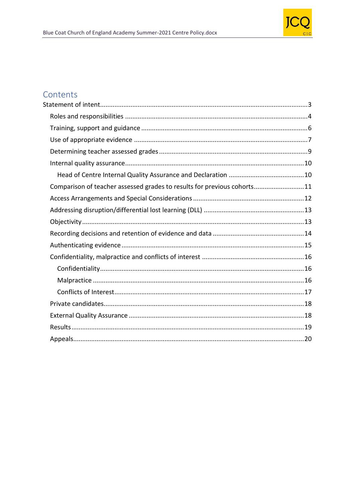

# Contents

| Comparison of teacher assessed grades to results for previous cohorts11 |  |
|-------------------------------------------------------------------------|--|
|                                                                         |  |
|                                                                         |  |
|                                                                         |  |
|                                                                         |  |
|                                                                         |  |
|                                                                         |  |
|                                                                         |  |
|                                                                         |  |
|                                                                         |  |
|                                                                         |  |
|                                                                         |  |
|                                                                         |  |
|                                                                         |  |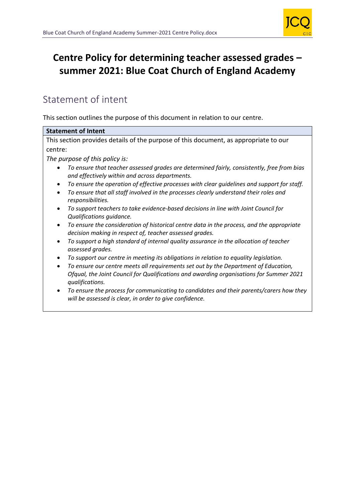

# **Centre Policy for determining teacher assessed grades – summer 2021: Blue Coat Church of England Academy**

# <span id="page-2-0"></span>Statement of intent

This section outlines the purpose of this document in relation to our centre.

### **Statement of Intent**

This section provides details of the purpose of this document, as appropriate to our centre:

*The purpose of this policy is:*

- *To ensure that teacher assessed grades are determined fairly, consistently, free from bias and effectively within and across departments.*
- *To ensure the operation of effective processes with clear guidelines and support for staff.*
- *To ensure that all staff involved in the processes clearly understand their roles and responsibilities.*
- *To support teachers to take evidence-based decisions in line with Joint Council for Qualifications guidance.*
- *To ensure the consideration of historical centre data in the process, and the appropriate decision making in respect of, teacher assessed grades.*
- *To support a high standard of internal quality assurance in the allocation of teacher assessed grades.*
- *To support our centre in meeting its obligations in relation to equality legislation.*
- *To ensure our centre meets all requirements set out by the Department of Education, Ofqual, the Joint Council for Qualifications and awarding organisations for Summer 2021 qualifications.*
- *To ensure the process for communicating to candidates and their parents/carers how they will be assessed is clear, in order to give confidence.*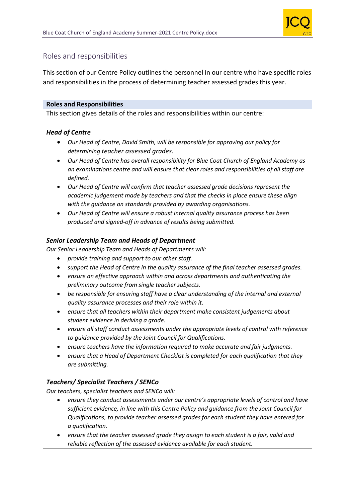

### <span id="page-3-0"></span>Roles and responsibilities

This section of our Centre Policy outlines the personnel in our centre who have specific roles and responsibilities in the process of determining teacher assessed grades this year.

### **Roles and Responsibilities**

This section gives details of the roles and responsibilities within our centre:

### *Head of Centre*

- *Our Head of Centre, David Smith, will be responsible for approving our policy for determining teacher assessed grades.*
- *Our Head of Centre has overall responsibility for Blue Coat Church of England Academy as an examinations centre and will ensure that clear roles and responsibilities of all staff are defined.*
- *Our Head of Centre will confirm that teacher assessed grade decisions represent the academic judgement made by teachers and that the checks in place ensure these align with the guidance on standards provided by awarding organisations.*
- *Our Head of Centre will ensure a robust internal quality assurance process has been produced and signed-off in advance of results being submitted.*

### *Senior Leadership Team and Heads of Department*

*Our Senior Leadership Team and Heads of Departments will:*

- *provide training and support to our other staff.*
- *support the Head of Centre in the quality assurance of the final teacher assessed grades.*
- *ensure an effective approach within and across departments and authenticating the preliminary outcome from single teacher subjects.*
- *be responsible for ensuring staff have a clear understanding of the internal and external quality assurance processes and their role within it.*
- *ensure that all teachers within their department make consistent judgements about student evidence in deriving a grade.*
- *ensure all staff conduct assessments under the appropriate levels of control with reference to guidance provided by the Joint Council for Qualifications.*
- *ensure teachers have the information required to make accurate and fair judgments.*
- *ensure that a Head of Department Checklist is completed for each qualification that they are submitting.*

### *Teachers/ Specialist Teachers / SENCo*

*Our teachers, specialist teachers and SENCo will:*

- *ensure they conduct assessments under our centre's appropriate levels of control and have sufficient evidence, in line with this Centre Policy and guidance from the Joint Council for Qualifications, to provide teacher assessed grades for each student they have entered for a qualification.*
- *ensure that the teacher assessed grade they assign to each student is a fair, valid and reliable reflection of the assessed evidence available for each student.*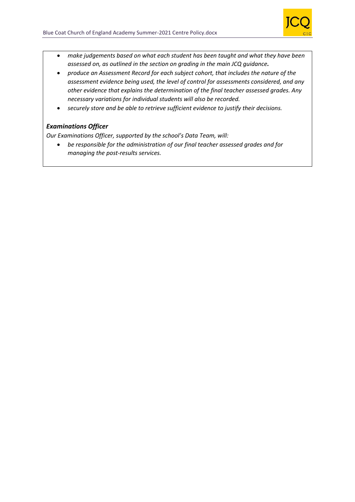

- *make judgements based on what each student has been taught and what they have been assessed on, as outlined in the section on grading in the main JCQ guidance.*
- *produce an Assessment Record for each subject cohort, that includes the nature of the assessment evidence being used, the level of control for assessments considered, and any other evidence that explains the determination of the final teacher assessed grades. Any necessary variations for individual students will also be recorded.*
- *securely store and be able to retrieve sufficient evidence to justify their decisions.*

### *Examinations Officer*

*Our Examinations Officer, supported by the school's Data Team, will:*

• *be responsible for the administration of our final teacher assessed grades and for managing the post-results services.*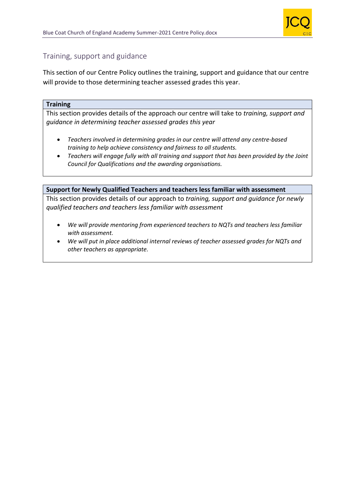

# <span id="page-5-0"></span>Training, support and guidance

This section of our Centre Policy outlines the training, support and guidance that our centre will provide to those determining teacher assessed grades this year.

### **Training**

This section provides details of the approach our centre will take to *training, support and guidance in determining teacher assessed grades this year*

- *Teachers involved in determining grades in our centre will attend any centre-based training to help achieve consistency and fairness to all students.*
- *Teachers will engage fully with all training and support that has been provided by the Joint Council for Qualifications and the awarding organisations.*

### **Support for Newly Qualified Teachers and teachers less familiar with assessment**

This section provides details of our approach to *training, support and guidance for newly qualified teachers and teachers less familiar with assessment*

- *We will provide mentoring from experienced teachers to NQTs and teachers less familiar with assessment.*
- *We will put in place additional internal reviews of teacher assessed grades for NQTs and other teachers as appropriate.*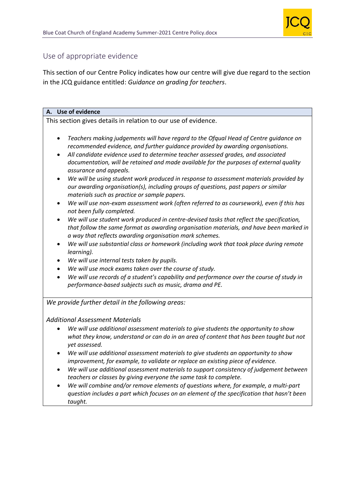

### <span id="page-6-0"></span>Use of appropriate evidence

This section of our Centre Policy indicates how our centre will give due regard to the section in the JCQ guidance entitled: *Guidance on grading for teachers*.

### **A. Use of evidence**

This section gives details in relation to our use of evidence.

- *Teachers making judgements will have regard to the Ofqual Head of Centre guidance on recommended evidence, and further guidance provided by awarding organisations.*
- *All candidate evidence used to determine teacher assessed grades, and associated documentation, will be retained and made available for the purposes of external quality assurance and appeals.*
- *We will be using student work produced in response to assessment materials provided by our awarding organisation(s), including groups of questions, past papers or similar materials such as practice or sample papers.*
- *We will use non-exam assessment work (often referred to as coursework), even if this has not been fully completed.*
- *We will use student work produced in centre-devised tasks that reflect the specification, that follow the same format as awarding organisation materials, and have been marked in a way that reflects awarding organisation mark schemes.*
- *We will use substantial class or homework (including work that took place during remote learning).*
- *We will use internal tests taken by pupils.*
- *We will use mock exams taken over the course of study.*
- *We will use records of a student's capability and performance over the course of study in performance-based subjects such as music, drama and PE.*

*We provide further detail in the following areas:*

### *Additional Assessment Materials*

- *We will use additional assessment materials to give students the opportunity to show what they know, understand or can do in an area of content that has been taught but not yet assessed.*
- *We will use additional assessment materials to give students an opportunity to show improvement, for example, to validate or replace an existing piece of evidence.*
- *We will use additional assessment materials to support consistency of judgement between teachers or classes by giving everyone the same task to complete.*
- *We will combine and/or remove elements of questions where, for example, a multi-part question includes a part which focuses on an element of the specification that hasn't been taught.*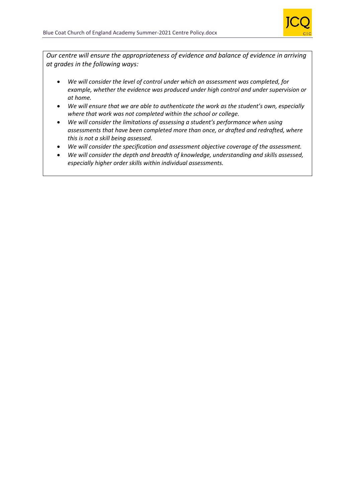

*Our centre will ensure the appropriateness of evidence and balance of evidence in arriving at grades in the following ways:*

- *We will consider the level of control under which an assessment was completed, for example, whether the evidence was produced under high control and under supervision or at home.*
- *We will ensure that we are able to authenticate the work as the student's own, especially where that work was not completed within the school or college.*
- *We will consider the limitations of assessing a student's performance when using assessments that have been completed more than once, or drafted and redrafted, where this is not a skill being assessed.*
- *We will consider the specification and assessment objective coverage of the assessment.*
- *We will consider the depth and breadth of knowledge, understanding and skills assessed, especially higher order skills within individual assessments.*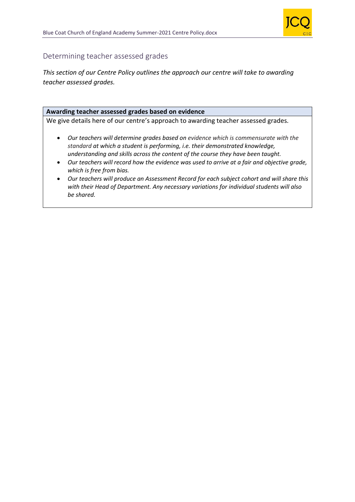

# <span id="page-8-0"></span>Determining teacher assessed grades

*This section of our Centre Policy outlines the approach our centre will take to awarding teacher assessed grades.*

### **Awarding teacher assessed grades based on evidence**

We give details here of our centre's approach to awarding teacher assessed grades*.*

- *Our teachers will determine grades based on evidence which is commensurate with the standard at which a student is performing, i.e. their demonstrated knowledge, understanding and skills across the content of the course they have been taught.*
- *Our teachers will record how the evidence was used to arrive at a fair and objective grade, which is free from bias.*
- *Our teachers will produce an Assessment Record for each subject cohort and will share this with their Head of Department. Any necessary variations for individual students will also be shared.*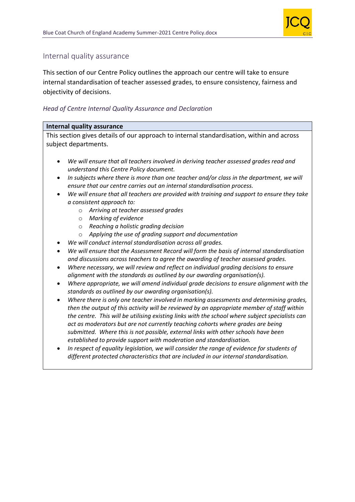

### <span id="page-9-0"></span>Internal quality assurance

This section of our Centre Policy outlines the approach our centre will take to ensure internal standardisation of teacher assessed grades, to ensure consistency, fairness and objectivity of decisions.

### <span id="page-9-1"></span>*Head of Centre Internal Quality Assurance and Declaration*

### **Internal quality assurance**

This section gives details of our approach to internal standardisation, within and across subject departments.

- *We will ensure that all teachers involved in deriving teacher assessed grades read and understand this Centre Policy document.*
- *In subjects where there is more than one teacher and/or class in the department, we will ensure that our centre carries out an internal standardisation process.*
- *We will ensure that all teachers are provided with training and support to ensure they take a consistent approach to:*
	- o *Arriving at teacher assessed grades*
	- o *Marking of evidence*
	- o *Reaching a holistic grading decision*
	- o *Applying the use of grading support and documentation*
- *We will conduct internal standardisation across all grades.*
- *We will ensure that the Assessment Record will form the basis of internal standardisation and discussions across teachers to agree the awarding of teacher assessed grades.*
- *Where necessary, we will review and reflect on individual grading decisions to ensure alignment with the standards as outlined by our awarding organisation(s).*
- *Where appropriate, we will amend individual grade decisions to ensure alignment with the standards as outlined by our awarding organisation(s).*
- *Where there is only one teacher involved in marking assessments and determining grades, then the output of this activity will be reviewed by an appropriate member of staff within the centre. This will be utilising existing links with the school where subject specialists can act as moderators but are not currently teaching cohorts where grades are being submitted. Where this is not possible, external links with other schools have been established to provide support with moderation and standardisation.*
- *In respect of equality legislation, we will consider the range of evidence for students of different protected characteristics that are included in our internal standardisation.*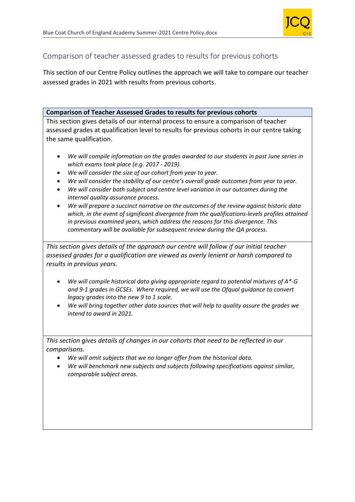

# <span id="page-10-0"></span>Comparison of teacher assessed grades to results for previous cohorts

This section of our Centre Policy outlines the approach we will take to compare our teacher assessed grades in 2021 with results from previous cohorts.

**Comparison of Teacher Assessed Grades to results for previous cohorts**

This section gives details of our internal process to ensure a comparison of teacher assessed grades at qualification level to results for previous cohorts in our centre taking the same qualification.

- *We will compile information on the grades awarded to our students in past June series in which exams took place (e.g. 2017 - 2019).*
- *We will consider the size of our cohort from year to year.*
- *We will consider the stability of our centre's overall grade outcomes from year to year.*
- *We will consider both subject and centre level variation in our outcomes during the internal quality assurance process.*
- *We will prepare a succinct narrative on the outcomes of the review against historic data which, in the event of significant divergence from the qualifications-levels profiles attained in previous examined years, which address the reasons for this divergence. This commentary will be available for subsequent review during the QA process.*

*This section gives details of the approach our centre will follow if our initial teacher assessed grades for a qualification are viewed as overly lenient or harsh compared to results in previous years.*

- *We will compile historical data giving appropriate regard to potential mixtures of A\*-G and 9-1 grades in GCSEs. Where required, we will use the Ofqual guidance to convert legacy grades into the new 9 to 1 scale.*
- *We will bring together other data sources that will help to quality assure the grades we intend to award in 2021.*

*This section gives details of changes in our cohorts that need to be reflected in our comparisons.* 

- *We will omit subjects that we no longer offer from the historical data.*
- *We will benchmark new subjects and subjects following specifications against similar, comparable subject areas.*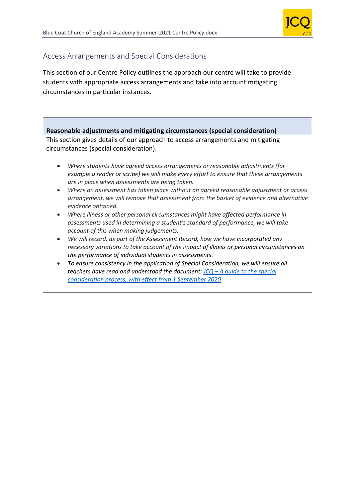

# <span id="page-11-0"></span>Access Arrangements and Special Considerations

This section of our Centre Policy outlines the approach our centre will take to provide students with appropriate access arrangements and take into account mitigating circumstances in particular instances.

# **Reasonable adjustments and mitigating circumstances (special consideration)** This section gives details of our approach to access arrangements and mitigating circumstances (special consideration). • *Where students have agreed access arrangements or reasonable adjustments (for*

- *example a reader or scribe) we will make every effort to ensure that these arrangements are in place when assessments are being taken.*
- *Where an assessment has taken place without an agreed reasonable adjustment or access arrangement, we will remove that assessment from the basket of evidence and alternative evidence obtained.*
- *Where illness or other personal circumstances might have affected performance in assessments used in determining a student's standard of performance, we will take account of this when making judgements.*
- *We will record, as part of the Assessment Record, how we have incorporated any necessary variations to take account of the impact of illness or personal circumstances on the performance of individual students in assessments.*
- *To ensure consistency in the application of Special Consideration, we will ensure all teachers have read and understood the document: JCQ – [A guide to the special](https://www.jcq.org.uk/wp-content/uploads/2020/08/A-guide-to-the-spec-con-process-202021-Website-version.pdf)  [consideration process, with effect from 1 September 2020](https://www.jcq.org.uk/wp-content/uploads/2020/08/A-guide-to-the-spec-con-process-202021-Website-version.pdf)*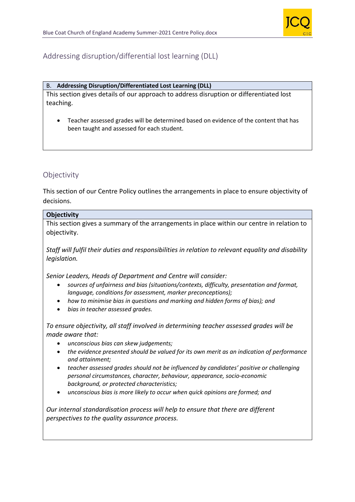

# <span id="page-12-0"></span>Addressing disruption/differential lost learning (DLL)

### B. **Addressing Disruption/Differentiated Lost Learning (DLL)**

This section gives details of our approach to address disruption or differentiated lost teaching.

• Teacher assessed grades will be determined based on evidence of the content that has been taught and assessed for each student.

# <span id="page-12-1"></span>Objectivity

This section of our Centre Policy outlines the arrangements in place to ensure objectivity of decisions.

#### **Objectivity**

This section gives a summary of the arrangements in place within our centre in relation to objectivity.

*Staff will fulfil their duties and responsibilities in relation to relevant equality and disability legislation.*

*Senior Leaders, Heads of Department and Centre will consider:*

- *sources of unfairness and bias (situations/contexts, difficulty, presentation and format, language, conditions for assessment, marker preconceptions);*
- *how to minimise bias in questions and marking and hidden forms of bias); and*
- *bias in teacher assessed grades.*

*To ensure objectivity, all staff involved in determining teacher assessed grades will be made aware that:*

- *unconscious bias can skew judgements;*
- *the evidence presented should be valued for its own merit as an indication of performance and attainment;*
- *teacher assessed grades should not be influenced by candidates' positive or challenging personal circumstances, character, behaviour, appearance, socio-economic background, or protected characteristics;*
- *unconscious bias is more likely to occur when quick opinions are formed; and*

*Our internal standardisation process will help to ensure that there are different perspectives to the quality assurance process.*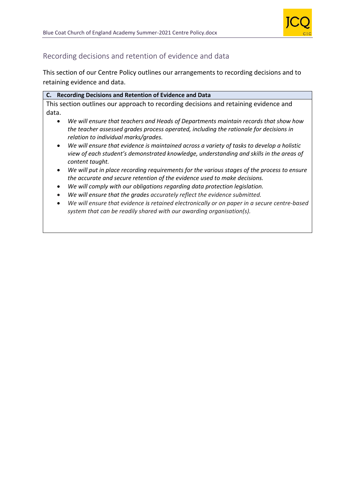

# <span id="page-13-0"></span>Recording decisions and retention of evidence and data

This section of our Centre Policy outlines our arrangements to recording decisions and to retaining evidence and data.

|       | C. Recording Decisions and Retention of Evidence and Data                            |
|-------|--------------------------------------------------------------------------------------|
|       | This section outlines our approach to recording decisions and retaining evidence and |
| data. |                                                                                      |

- *We will ensure that teachers and Heads of Departments maintain records that show how the teacher assessed grades process operated, including the rationale for decisions in relation to individual marks/grades.*
- *We will ensure that evidence is maintained across a variety of tasks to develop a holistic view of each student's demonstrated knowledge, understanding and skills in the areas of content taught.*
- *We will put in place recording requirements for the various stages of the process to ensure the accurate and secure retention of the evidence used to make decisions.*
- *We will comply with our obligations regarding data protection legislation.*
- *We will ensure that the grades accurately reflect the evidence submitted.*
- *We will ensure that evidence is retained electronically or on paper in a secure centre-based system that can be readily shared with our awarding organisation(s).*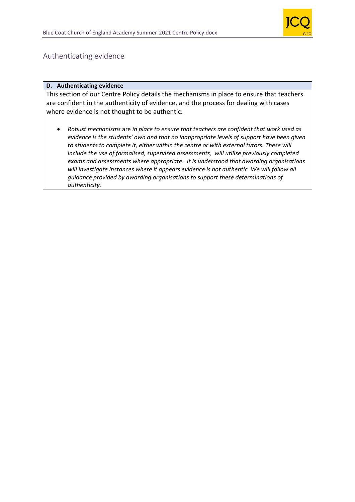

### <span id="page-14-0"></span>Authenticating evidence

### **D. Authenticating evidence**

This section of our Centre Policy details the mechanisms in place to ensure that teachers are confident in the authenticity of evidence, and the process for dealing with cases where evidence is not thought to be authentic.

• *Robust mechanisms* are *in place to ensure that teachers are confident that work used as evidence is the students' own and that no inappropriate levels of support have been given to students to complete it, either within the centre or with external tutors. These will include the use of formalised, supervised assessments, will utilise previously completed exams and assessments where appropriate. It is understood that awarding organisations* will investigate instances where it appears evidence is not authentic. We will follow all *guidance provided by awarding organisations to support these determinations of authenticity.*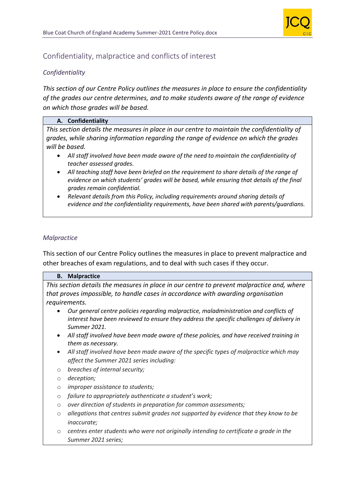

# <span id="page-15-0"></span>Confidentiality, malpractice and conflicts of interest

### <span id="page-15-1"></span>*Confidentiality*

*This section of our Centre Policy outlines the measures in place to ensure the confidentiality of the grades our centre determines, and to make students aware of the range of evidence on which those grades will be based.*

### **A. Confidentiality**

*This section details the measures in place in our centre to maintain the confidentiality of grades, while sharing information regarding the range of evidence on which the grades will be based.* 

- *All staff involved have been made aware of the need to maintain the confidentiality of teacher assessed grades.*
- *All teaching staff have been briefed on the requirement to share details of the range of evidence on which students' grades will be based, while ensuring that details of the final grades remain confidential.*
- *Relevant details from this Policy, including requirements around sharing details of evidence and the confidentiality requirements, have been shared with parents/guardians.*

### <span id="page-15-2"></span>*Malpractice*

This section of our Centre Policy outlines the measures in place to prevent malpractice and other breaches of exam regulations, and to deal with such cases if they occur.

### **B. Malpractice**

*This section details the measures in place in our centre to prevent malpractice and, where that proves impossible, to handle cases in accordance with awarding organisation requirements.*

- *Our general centre policies regarding malpractice, maladministration and conflicts of interest have been reviewed to ensure they address the specific challenges of delivery in Summer 2021.*
- *All staff involved have been made aware of these policies, and have received training in them as necessary.*
- *All staff involved have been made aware of the specific types of malpractice which may affect the Summer 2021 series including:*
- o *breaches of internal security;*
- o *deception;*
- o *improper assistance to students;*
- o *failure to appropriately authenticate a student's work;*
- o *over direction of students in preparation for common assessments;*
- o *allegations that centres submit grades not supported by evidence that they know to be inaccurate;*
- o *centres enter students who were not originally intending to certificate a grade in the Summer 2021 series;*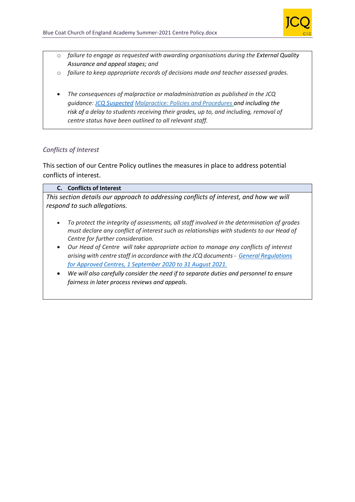

- o *failure to engage as requested with awarding organisations during the External Quality Assurance and appeal stages; and*
- o *failure to keep appropriate records of decisions made and teacher assessed grades.*
- *The consequences of malpractice or maladministration as published in the JCQ guidance: [JCQ Suspected](https://www.jcq.org.uk/exams-office/malpractice/jcq-suspected-malpractice-policies-and-procedures-2019-2020) Malpractice: Policies and Procedures and including the risk of a delay to students receiving their grades, up to, and including, removal of centre status have been outlined to all relevant staff.*

### <span id="page-16-0"></span>*Conflicts of Interest*

This section of our Centre Policy outlines the measures in place to address potential conflicts of interest.

### **C. Conflicts of Interest**

*This section details our approach to addressing conflicts of interest, and how we will respond to such allegations.*

- *To protect the integrity of assessments, all staff involved in the determination of grades must declare any conflict of interest such as relationships with students to our Head of Centre for further consideration.*
- *Our Head of Centre will take appropriate action to manage any conflicts of interest arising with centre staff in accordance with the JCQ documents - [General Regulations](https://www.jcq.org.uk/wp-content/uploads/2020/09/Gen_regs_approved_centres_20-21_FINAL.pdf)  [for Approved Centres, 1 September 2020 to 31 August 2021.](https://www.jcq.org.uk/wp-content/uploads/2020/09/Gen_regs_approved_centres_20-21_FINAL.pdf)*
- *We will also carefully consider the need if to separate duties and personnel to ensure fairness in later process reviews and appeals.*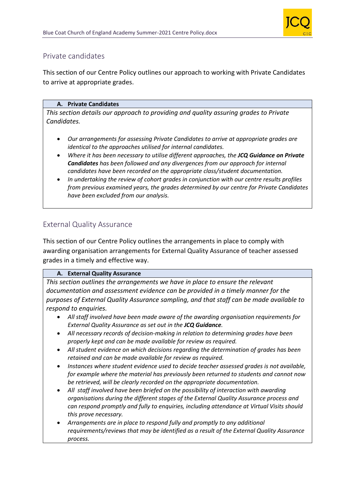

# <span id="page-17-0"></span>Private candidates

This section of our Centre Policy outlines our approach to working with Private Candidates to arrive at appropriate grades.

### **A. Private Candidates**

*This section details our approach to providing and quality assuring grades to Private Candidates.*

- *Our arrangements for assessing Private Candidates to arrive at appropriate grades are identical to the approaches utilised for internal candidates.*
- *Where it has been necessary to utilise different approaches, the JCQ Guidance on Private Candidates has been followed and any divergences from our approach for internal candidates have been recorded on the appropriate class/student documentation.*
- *In undertaking the review of cohort grades in conjunction with our centre results profiles from previous examined years, the grades determined by our centre for Private Candidates have been excluded from our analysis.*

# <span id="page-17-1"></span>External Quality Assurance

This section of our Centre Policy outlines the arrangements in place to comply with awarding organisation arrangements for External Quality Assurance of teacher assessed grades in a timely and effective way.

### **A. External Quality Assurance**

*This section outlines the arrangements we have in place to ensure the relevant documentation and assessment evidence can be provided in a timely manner for the purposes of External Quality Assurance sampling, and that staff can be made available to respond to enquiries.*

- *All staff involved have been made aware of the awarding organisation requirements for External Quality Assurance as set out in the JCQ Guidance.*
- *All necessary records of decision-making in relation to determining grades have been properly kept and can be made available for review as required.*
- *All student evidence on which decisions regarding the determination of grades has been retained and can be made available for review as required.*
- *Instances where student evidence used to decide teacher assessed grades is not available, for example where the material has previously been returned to students and cannot now be retrieved, will be clearly recorded on the appropriate documentation.*
- *All staff involved have been briefed on the possibility of interaction with awarding organisations during the different stages of the External Quality Assurance process and can respond promptly and fully to enquiries, including attendance at Virtual Visits should this prove necessary.*
- *Arrangements are in place to respond fully and promptly to any additional requirements/reviews that may be identified as a result of the External Quality Assurance process.*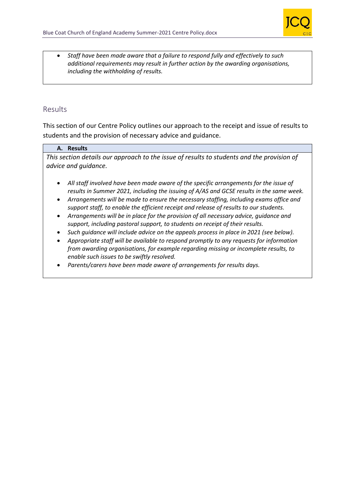

• *Staff have been made aware that a failure to respond fully and effectively to such additional requirements may result in further action by the awarding organisations, including the withholding of results.*

# <span id="page-18-0"></span>Results

This section of our Centre Policy outlines our approach to the receipt and issue of results to students and the provision of necessary advice and guidance.

### **A. Results**

*This section details our approach to the issue of results to students and the provision of advice and guidance.*

- *All staff involved have been made aware of the specific arrangements for the issue of results in Summer 2021, including the issuing of A/AS and GCSE results in the same week.*
- *Arrangements will be made to ensure the necessary staffing, including exams office and support staff, to enable the efficient receipt and release of results to our students.*
- *Arrangements will be in place for the provision of all necessary advice, guidance and support, including pastoral support, to students on receipt of their results.*
- *Such guidance will include advice on the appeals process in place in 2021 (see below).*
- *Appropriate staff will be available to respond promptly to any requests for information from awarding organisations, for example regarding missing or incomplete results, to enable such issues to be swiftly resolved.*
- *Parents/carers have been made aware of arrangements for results days.*